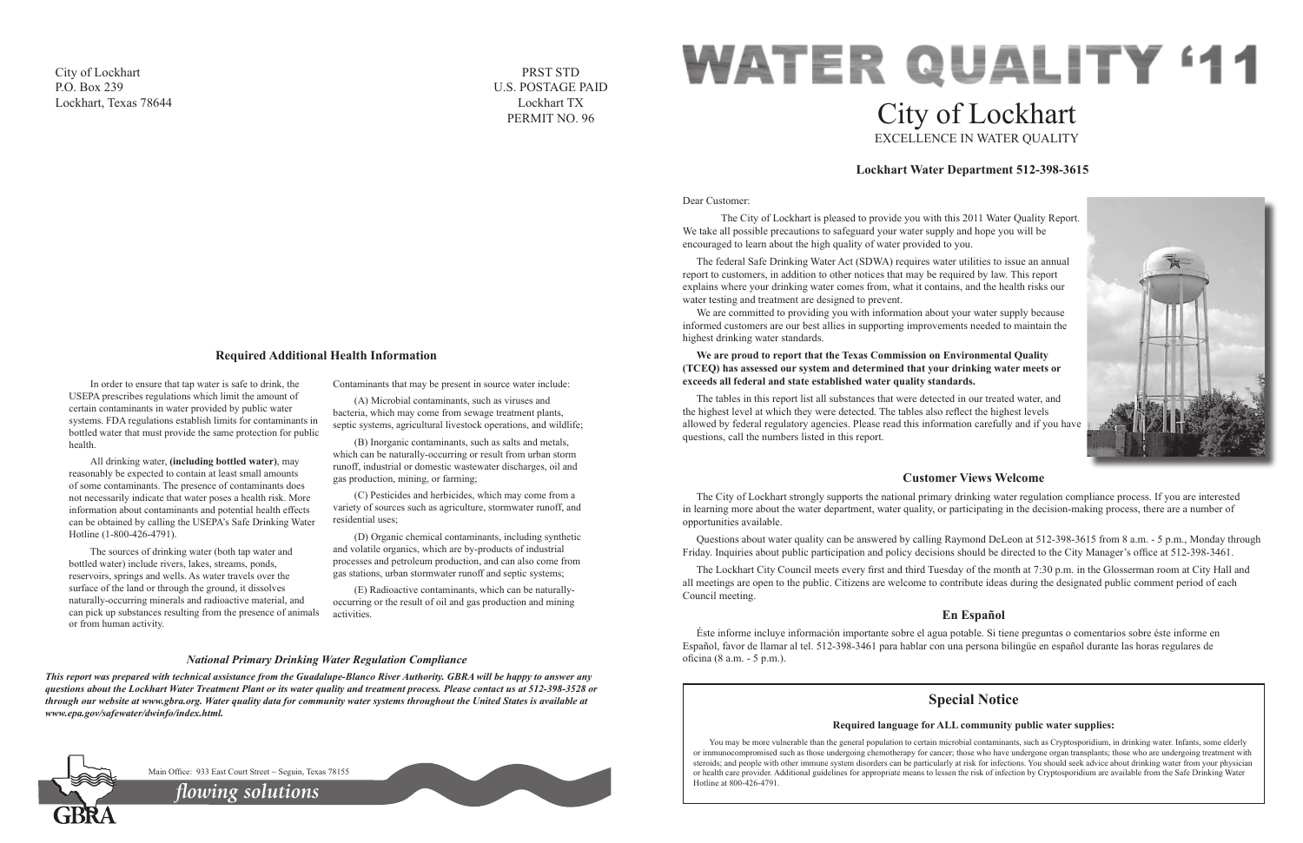### Dear Customer:

 The City of Lockhart is pleased to provide you with this 2011 Water Quality Report. We take all possible precautions to safeguard your water supply and hope you will be encouraged to learn about the high quality of water provided to you.

We are committed to providing you with information about your water supply because informed customers are our best allies in supporting improvements needed to maintain the highest drinking water standards.

The federal Safe Drinking Water Act (SDWA) requires water utilities to issue an annual report to customers, in addition to other notices that may be required by law. This report explains where your drinking water comes from, what it contains, and the health risks our water testing and treatment are designed to prevent.

# **WATER QUALITY '11** City of Lockhart EXCELLENCE IN WATER QUALITY

# **We are proud to report that the Texas Commission on Environmental Quality (TCEQ) has assessed our system and determined that your drinking water meets or exceeds all federal and state established water quality standards.**

The tables in this report list all substances that were detected in our treated water, and the highest level at which they were detected. The tables also reflect the highest levels allowed by federal regulatory agencies. Please read this information carefully and if you have questions, call the numbers listed in this report.

# **Lockhart Water Department 512-398-3615**



# **Customer Views Welcome**

The City of Lockhart strongly supports the national primary drinking water regulation compliance process. If you are interested in learning more about the water department, water quality, or participating in the decision-making process, there are a number of opportunities available.

Questions about water quality can be answered by calling Raymond DeLeon at 512-398-3615 from 8 a.m. - 5 p.m., Monday through Friday. Inquiries about public participation and policy decisions should be directed to the City Manager's office at 512-398-3461.

The Lockhart City Council meets every first and third Tuesday of the month at 7:30 p.m. in the Glosserman room at City Hall and all meetings are open to the public. Citizens are welcome to contribute ideas during the designated public comment period of each Council meeting.

# **En Español**

Éste informe incluye información importante sobre el agua potable. Si tiene preguntas o comentarios sobre éste informe en Español, favor de llamar al tel. 512-398-3461 para hablar con una persona bilingüe en español durante las horas regulares de oficina (8 a.m. - 5 p.m.).

In order to ensure that tap water is safe to drink, the USEPA prescribes regulations which limit the amount of certain contaminants in water provided by public water systems. FDA regulations establish limits for contaminants in bottled water that must provide the same protection for public health.

> You may be more vulnerable than the general population to certain microbial contaminants, such as Cryptosporidium, in drinking water. Infants, some elderly or immunocompromised such as those undergoing chemotherapy for cancer; those who have undergone organ transplants; those who are undergoing treatment with steroids; and people with other immune system disorders can be particularly at risk for infections. You should seek advice about drinking water from your physician or health care provider. Additional guidelines for appropriate means to lessen the risk of infection by Cryptosporidium are available from the Safe Drinking Water

All drinking water, **(including bottled water)**, may reasonably be expected to contain at least small amounts of some contaminants. The presence of contaminants does not necessarily indicate that water poses a health risk. More information about contaminants and potential health effects can be obtained by calling the USEPA's Safe Drinking Water Hotline (1-800-426-4791).

The sources of drinking water (both tap water and bottled water) include rivers, lakes, streams, ponds, reservoirs, springs and wells. As water travels over the surface of the land or through the ground, it dissolves naturally-occurring minerals and radioactive material, and can pick up substances resulting from the presence of animals or from human activity.

Contaminants that may be present in source water include:

(A) Microbial contaminants, such as viruses and bacteria, which may come from sewage treatment plants, septic systems, agricultural livestock operations, and wildlife;

(B) Inorganic contaminants, such as salts and metals, which can be naturally-occurring or result from urban storm runoff, industrial or domestic wastewater discharges, oil and gas production, mining, or farming;

(C) Pesticides and herbicides, which may come from a variety of sources such as agriculture, stormwater runoff, and residential uses;

(D) Organic chemical contaminants, including synthetic and volatile organics, which are by-products of industrial processes and petroleum production, and can also come from gas stations, urban stormwater runoff and septic systems;

(E) Radioactive contaminants, which can be naturallyoccurring or the result of oil and gas production and mining activities.

# **Required Additional Health Information**

# *National Primary Drinking Water Regulation Compliance*

*This report was prepared with technical assistance from the Guadalupe-Blanco River Authority. GBRA will be happy to answer any questions about the Lockhart Water Treatment Plant or its water quality and treatment process. Please contact us at 512-398-3528 or through our website at www.gbra.org. Water quality data for community water systems throughout the United States is available at www.epa.gov/safewater/dwinfo/index.html.*



# **Special Notice**

# **Required language for ALL community public water supplies:**

Hotline at 800-426-4791. *flowing solutions*

Main Office: 933 East Court Street ~ Seguin, Texas 78155



City of Lockhart P.O. Box 239 Lockhart, Texas 78644

PRST STD U.S. POSTAGE PAID Lockhart TX PERMIT NO. 96